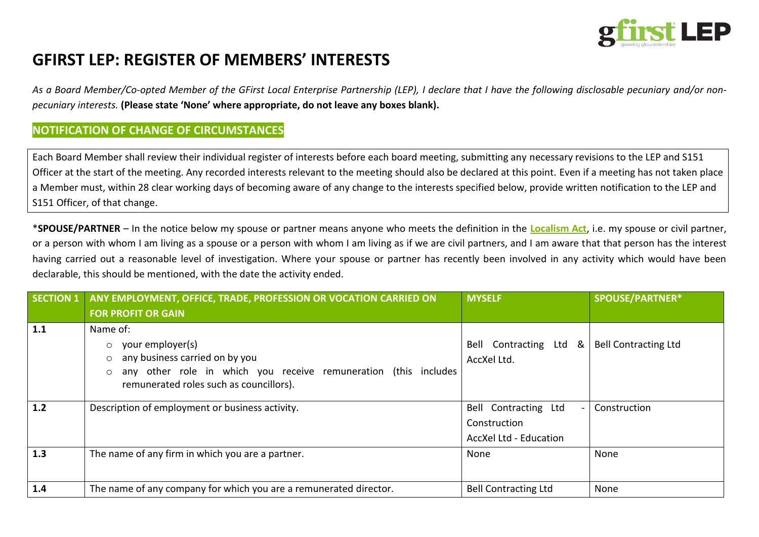

# **GFIRST LEP: REGISTER OF MEMBERS' INTERESTS**

*As a Board Member/Co-opted Member of the GFirst Local Enterprise Partnership (LEP), I declare that I have the following disclosable pecuniary and/or nonpecuniary interests.* **(Please state 'None' where appropriate, do not leave any boxes blank).**

### **NOTIFICATION OF CHANGE OF CIRCUMSTANCES**

Each Board Member shall review their individual register of interests before each board meeting, submitting any necessary revisions to the LEP and S151 Officer at the start of the meeting. Any recorded interests relevant to the meeting should also be declared at this point. Even if a meeting has not taken place a Member must, within 28 clear working days of becoming aware of any change to the interests specified below, provide written notification to the LEP and S151 Officer, of that change.

\***SPOUSE/PARTNER** – In the notice below my spouse or partner means anyone who meets the definition in the **[Localism Act](http://www.legislation.gov.uk/ukpga/2011/20/contents/enacted)**, i.e. my spouse or civil partner, or a person with whom I am living as a spouse or a person with whom I am living as if we are civil partners, and I am aware that that person has the interest having carried out a reasonable level of investigation. Where your spouse or partner has recently been involved in any activity which would have been declarable, this should be mentioned, with the date the activity ended.

| <b>SECTION 1</b> | ANY EMPLOYMENT, OFFICE, TRADE, PROFESSION OR VOCATION CARRIED ON                                                                                                                                              | <b>MYSELF</b>                                                  | <b>SPOUSE/PARTNER*</b>      |
|------------------|---------------------------------------------------------------------------------------------------------------------------------------------------------------------------------------------------------------|----------------------------------------------------------------|-----------------------------|
|                  | <b>FOR PROFIT OR GAIN</b>                                                                                                                                                                                     |                                                                |                             |
| 1.1              | Name of:<br>your employer(s)<br>$\circ$<br>any business carried on by you<br>$\circ$<br>any other role in which you receive remuneration (this includes<br>$\circ$<br>remunerated roles such as councillors). | Bell Contracting Ltd &<br>AccXel Ltd.                          | <b>Bell Contracting Ltd</b> |
| 1.2              | Description of employment or business activity.                                                                                                                                                               | Bell Contracting Ltd<br>Construction<br>AccXel Ltd - Education | Construction                |
| 1.3              | The name of any firm in which you are a partner.                                                                                                                                                              | None                                                           | None                        |
| 1.4              | The name of any company for which you are a remunerated director.                                                                                                                                             | <b>Bell Contracting Ltd</b>                                    | None                        |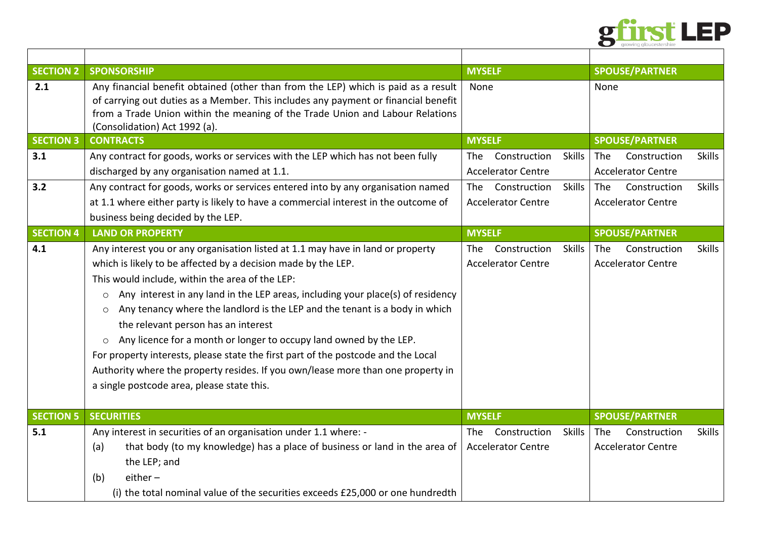

| <b>SECTION 2</b> | <b>SPONSORSHIP</b>                                                                                                                                                       | <b>MYSELF</b>                               | <b>SPOUSE/PARTNER</b>                       |
|------------------|--------------------------------------------------------------------------------------------------------------------------------------------------------------------------|---------------------------------------------|---------------------------------------------|
| 2.1              | Any financial benefit obtained (other than from the LEP) which is paid as a result<br>of carrying out duties as a Member. This includes any payment or financial benefit | None                                        | None                                        |
|                  | from a Trade Union within the meaning of the Trade Union and Labour Relations                                                                                            |                                             |                                             |
|                  | (Consolidation) Act 1992 (a).                                                                                                                                            |                                             |                                             |
| <b>SECTION 3</b> | <b>CONTRACTS</b>                                                                                                                                                         | <b>MYSELF</b>                               | <b>SPOUSE/PARTNER</b>                       |
| 3.1              | Any contract for goods, works or services with the LEP which has not been fully                                                                                          | <b>Skills</b><br>Construction<br>The .      | <b>Skills</b><br><b>The</b><br>Construction |
|                  | discharged by any organisation named at 1.1.                                                                                                                             | <b>Accelerator Centre</b>                   | <b>Accelerator Centre</b>                   |
| 3.2              | Any contract for goods, works or services entered into by any organisation named                                                                                         | Construction<br><b>Skills</b><br><b>The</b> | The<br>Construction<br><b>Skills</b>        |
|                  | at 1.1 where either party is likely to have a commercial interest in the outcome of                                                                                      | <b>Accelerator Centre</b>                   | <b>Accelerator Centre</b>                   |
|                  | business being decided by the LEP.                                                                                                                                       |                                             |                                             |
| <b>SECTION 4</b> | <b>LAND OR PROPERTY</b>                                                                                                                                                  | <b>MYSELF</b>                               | <b>SPOUSE/PARTNER</b>                       |
| 4.1              | Any interest you or any organisation listed at 1.1 may have in land or property                                                                                          | <b>Skills</b><br>Construction<br>The.       | Construction<br><b>Skills</b><br><b>The</b> |
|                  | which is likely to be affected by a decision made by the LEP.                                                                                                            | <b>Accelerator Centre</b>                   | <b>Accelerator Centre</b>                   |
|                  | This would include, within the area of the LEP:                                                                                                                          |                                             |                                             |
|                  | Any interest in any land in the LEP areas, including your place(s) of residency<br>$\circ$                                                                               |                                             |                                             |
|                  | Any tenancy where the landlord is the LEP and the tenant is a body in which<br>$\circ$                                                                                   |                                             |                                             |
|                  | the relevant person has an interest                                                                                                                                      |                                             |                                             |
|                  | Any licence for a month or longer to occupy land owned by the LEP.<br>$\circ$                                                                                            |                                             |                                             |
|                  | For property interests, please state the first part of the postcode and the Local                                                                                        |                                             |                                             |
|                  | Authority where the property resides. If you own/lease more than one property in                                                                                         |                                             |                                             |
|                  | a single postcode area, please state this.                                                                                                                               |                                             |                                             |
|                  |                                                                                                                                                                          |                                             |                                             |
| <b>SECTION 5</b> | <b>SECURITIES</b>                                                                                                                                                        | <b>MYSELF</b>                               | <b>SPOUSE/PARTNER</b>                       |
| 5.1              | Any interest in securities of an organisation under 1.1 where: -                                                                                                         | <b>Skills</b><br>Construction<br>The        | <b>Skills</b><br>Construction<br><b>The</b> |
|                  | that body (to my knowledge) has a place of business or land in the area of<br>(a)                                                                                        | <b>Accelerator Centre</b>                   | <b>Accelerator Centre</b>                   |
|                  | the LEP; and                                                                                                                                                             |                                             |                                             |
|                  | $either -$<br>(b)                                                                                                                                                        |                                             |                                             |
|                  | (i) the total nominal value of the securities exceeds £25,000 or one hundredth                                                                                           |                                             |                                             |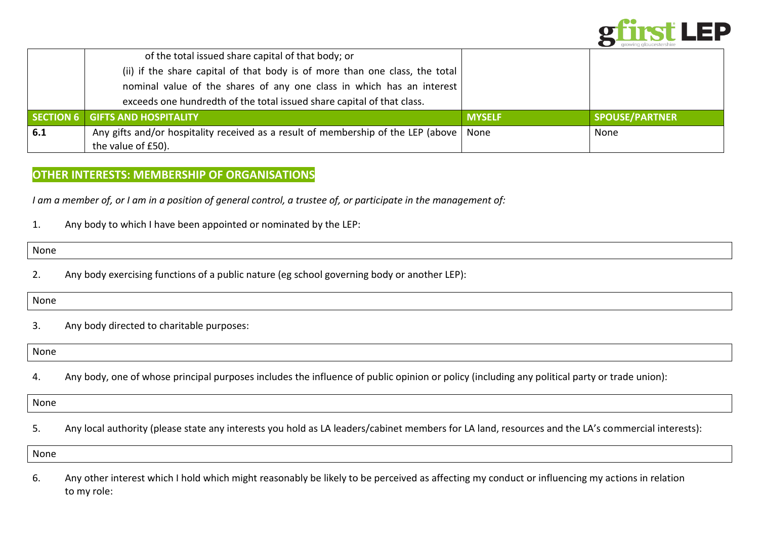

|     | of the total issued share capital of that body; or                                |               |                       |
|-----|-----------------------------------------------------------------------------------|---------------|-----------------------|
|     | (ii) if the share capital of that body is of more than one class, the total       |               |                       |
|     | nominal value of the shares of any one class in which has an interest             |               |                       |
|     | exceeds one hundredth of the total issued share capital of that class.            |               |                       |
|     | SECTION 6 GIFTS AND HOSPITALITY                                                   | <b>MYSELF</b> | <b>SPOUSE/PARTNER</b> |
| 6.1 | Any gifts and/or hospitality received as a result of membership of the LEP (above | None          | None                  |
|     | the value of £50).                                                                |               |                       |

### **OTHER INTERESTS: MEMBERSHIP OF ORGANISATIONS**

*I am a member of, or I am in a position of general control, a trustee of, or participate in the management of:*

1. Any body to which I have been appointed or nominated by the LEP:

None

2. Any body exercising functions of a public nature (eg school governing body or another LEP):

None

3. Any body directed to charitable purposes:

None

4. Any body, one of whose principal purposes includes the influence of public opinion or policy (including any political party or trade union):

None

5. Any local authority (please state any interests you hold as LA leaders/cabinet members for LA land, resources and the LA's commercial interests):

None

6. Any other interest which I hold which might reasonably be likely to be perceived as affecting my conduct or influencing my actions in relation to my role: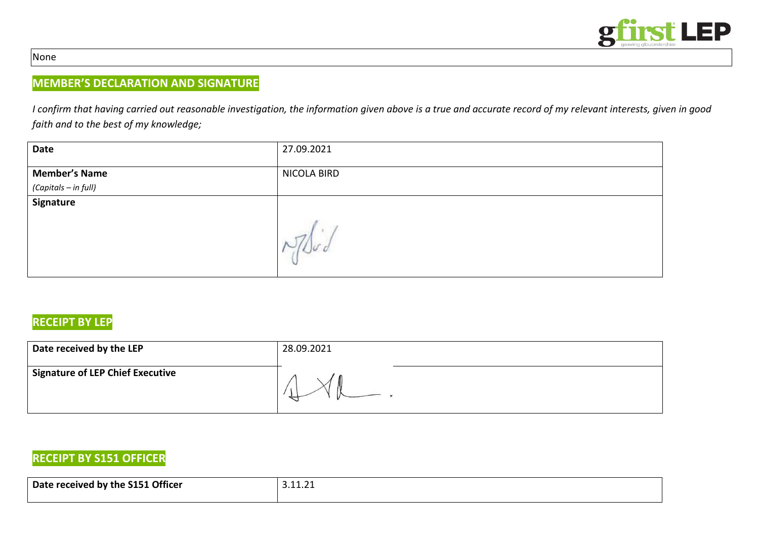

#### None

## **MEMBER'S DECLARATION AND SIGNATURE**

*I confirm that having carried out reasonable investigation, the information given above is a true and accurate record of my relevant interests, given in good faith and to the best of my knowledge;* 

| Date                 | 27.09.2021  |
|----------------------|-------------|
| <b>Member's Name</b> | NICOLA BIRD |
| (Capitals – in full) |             |
| Signature            |             |
|                      |             |

## **RECEIPT BY LEP**

| Date received by the LEP                | 28.09.2021 |
|-----------------------------------------|------------|
| <b>Signature of LEP Chief Executive</b> |            |

## **RECEIPT BY S151 OFFICER**

| Date received by the S151 Officer | . |
|-----------------------------------|---|
|                                   |   |